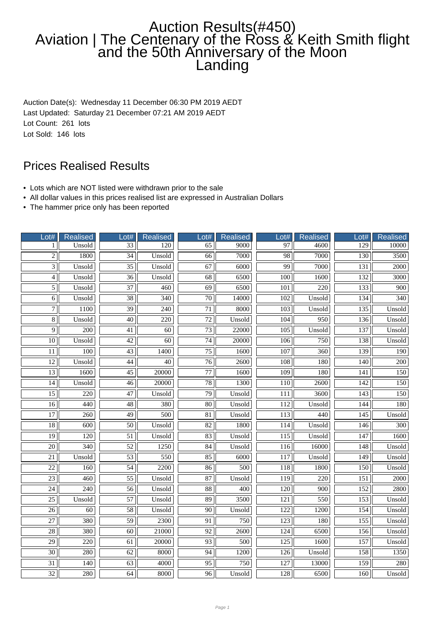## Auction Results(#450) Aviation | The Centenary of the Ross & Keith Smith flight and the 50th Anniversary of the Moon Landing

Auction Date(s): Wednesday 11 December 06:30 PM 2019 AEDT Last Updated: Saturday 21 December 07:21 AM 2019 AEDT Lot Count: 261 lots Lot Sold: 146 lots

## Prices Realised Results

- Lots which are NOT listed were withdrawn prior to the sale
- All dollar values in this prices realised list are expressed in Australian Dollars
- The hammer price only has been reported

| Lot#              | <b>Realised</b>  | Lot#            | <b>Realised</b>  | Lot#            | <b>Realised</b>  | 0 <sup>1#</sup>  | <b>Realised</b>  | Lot#             | <b>Realised</b>  |
|-------------------|------------------|-----------------|------------------|-----------------|------------------|------------------|------------------|------------------|------------------|
| 1                 | Unsold           | 33              | 120              | 65              | 9000             | 97               | 4600             | 129              | 10000            |
| $\overline{c}$    | 1800             | $\overline{34}$ | Unsold           | $\overline{66}$ | 7000             | 98               | 7000             | $\overline{130}$ | 3500             |
| 3                 | Unsold           | $\overline{35}$ | Unsold           | 67              | 6000             | 99               | 7000             | 131              | 2000             |
| $\overline{4}$    | Unsold           | $\overline{36}$ | Unsold           | 68              | 6500             | 100              | 1600             | 132              | 3000             |
| 5                 | Unsold           | 37              | 460              | 69              | 6500             | 101              | 220              | 133              | 900              |
| 6                 | Unsold           | $\overline{38}$ | $\overline{340}$ | $\overline{70}$ | 14000            | 102              | Unsold           | 134              | $\overline{340}$ |
| $\overline{\tau}$ | 1100             | $\overline{39}$ | $\overline{240}$ | $\overline{71}$ | 8000             | $\overline{103}$ | Unsold           | 135              | Unsold           |
| $\overline{8}$    | Unsold           | $\overline{40}$ | $\overline{220}$ | $\overline{72}$ | Unsold           | 104              | 950              | 136              | Unsold           |
| 9                 | 200              | 41              | $\overline{60}$  | 73              | 22000            | 105              | Unsold           | 137              | Unsold           |
| $\overline{10}$   | Unsold           | $\overline{42}$ | $\overline{60}$  | $\overline{74}$ | 20000            | 106              | 750              | 138              | Unsold           |
| 11                | 100              | 43              | 1400             | 75              | 1600             | 107              | 360              | 139              | 190              |
| 12                | Unsold           | 44              | $\overline{40}$  | $\overline{76}$ | 2600             | 108              | 180              | 140              | 200              |
| $\overline{13}$   | 1600             | $\overline{45}$ | 20000            | $\overline{77}$ | 1600             | $\overline{109}$ | 180              | $\overline{141}$ | 150              |
| $\overline{14}$   | Unsold           | $\overline{46}$ | 20000            | 78              | 1300             | 110              | 2600             | $\overline{142}$ | 150              |
| $\overline{15}$   | 220              | $\overline{47}$ | Unsold           | 79              | Unsold           | 111              | 3600             | 143              | 150              |
| $\overline{16}$   | 440              | $\overline{48}$ | 380              | 80              | Unsold           | 112              | Unsold           | 144              | 180              |
| $\overline{17}$   | $\overline{260}$ | $\overline{49}$ | $\overline{500}$ | $\overline{81}$ | Unsold           | $\overline{113}$ | 440              | 145              | Unsold           |
| $\overline{18}$   | 600              | $\overline{50}$ | Unsold           | $\overline{82}$ | 1800             | 114              | Unsold           | 146              | $\overline{300}$ |
| $\overline{19}$   | 120              | $\overline{51}$ | Unsold           | 83              | Unsold           | $\overline{115}$ | Unsold           | $\overline{147}$ | 1600             |
| $\overline{20}$   | 340              | 52              | 1250             | 84              | Unsold           | 116              | 16000            | 148              | Unsold           |
| 21                | Unsold           | 53              | 550              | 85              | 6000             | 117              | Unsold           | 149              | Unsold           |
| $\overline{22}$   | 160              | $\overline{54}$ | 2200             | $\overline{86}$ | 500              | 118              | 1800             | 150              | Unsold           |
| $\overline{23}$   | 460              | $\overline{55}$ | Unsold           | $\overline{87}$ | Unsold           | $\overline{119}$ | $\overline{220}$ | $\overline{151}$ | 2000             |
| 24                | 240              | 56              | Unsold           | $\overline{88}$ | 400              | 120              | 900              | 152              | 2800             |
| $\overline{25}$   | Unsold           | 57              | Unsold           | 89              | 3500             | 121              | 550              | 153              | Unsold           |
| 26                | 60               | 58              | Unsold           | 90              | Unsold           | 122              | 1200             | 154              | Unsold           |
| $27\,$            | 380              | 59              | 2300             | 91              | 750              | 123              | 180              | 155              | Unsold           |
| $\overline{28}$   | 380              | 60              | 21000            | 92              | 2600             | 124              | 6500             | 156              | Unsold           |
| $\overline{29}$   | $\overline{220}$ | 61              | 20000            | $\overline{93}$ | $\overline{500}$ | $\overline{125}$ | 1600             | 157              | Unsold           |
| 30                | 280              | 62              | 8000             | 94              | 1200             | 126              | Unsold           | 158              | 1350             |
| $\overline{31}$   | 140              | 63              | 4000             | $\overline{95}$ | 750              | 127              | 13000            | 159              | 280              |
| 32                | 280              | 64              | 8000             | 96              | Unsold           | 128              | 6500             | 160              | Unsold           |